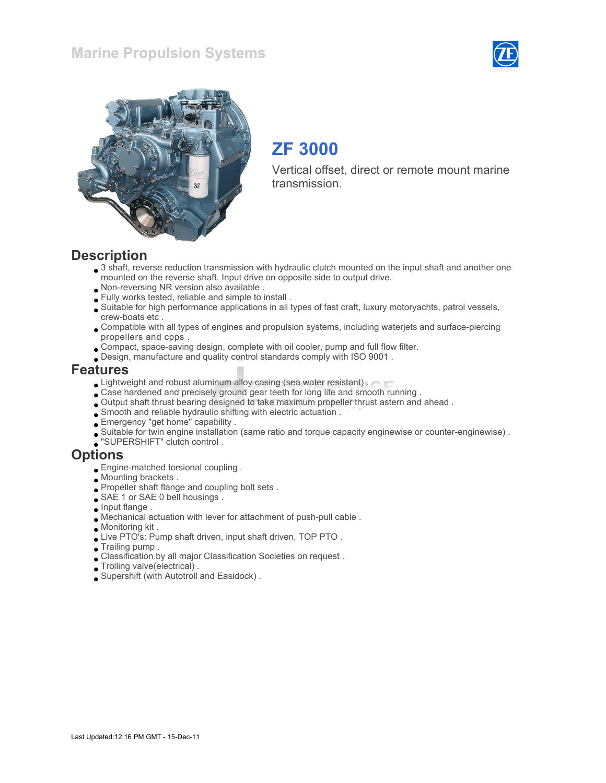



# ZF 3000

Vertical offset, direct or remote mount marine transmission.

#### **Description**

- 3 shaft, reverse reduction transmission with hydraulic clutch mounted on the input shaft and another one mounted on the reverse shaft. Input drive on opposite side to output drive.
- Non-reversing NR version also available .
- Fully works tested, reliable and simple to install .
- Suitable for high performance applications in all types of fast craft, luxury motoryachts, patrol vessels, crew-boats etc .
- Compatible with all types of engines and propulsion systems, including waterjets and surface-piercing propellers and cpps .
- Compact, space-saving design, complete with oil cooler, pump and full flow filter.
- Design, manufacture and quality control standards comply with ISO 9001 .

#### Features

- **Lightweight and robust aluminum alloy casing (sea water resistant).**
- Case hardened and precisely ground gear teeth for long life and smooth running .
- Output shaft thrust bearing designed to take maximum propeller thrust astern and ahead .
- Smooth and reliable hydraulic shifting with electric actuation .
- Emergency "get home" capability .
- Suitable for twin engine installation (same ratio and torque capacity enginewise or counter-enginewise) .
- "SUPERSHIFT" clutch control .

#### **Options**

- Engine-matched torsional coupling .
- Mounting brackets .
- Propeller shaft flange and coupling bolt sets .
- SAE 1 or SAE 0 bell housings.
- $\Box$  Input flange .
- Mechanical actuation with lever for attachment of push-pull cable .
- Monitoring kit .
- Live PTO's: Pump shaft driven, input shaft driven, TOP PTO .
- Trailing pump .
- Classification by all major Classification Societies on request .
- Trolling valve(electrical) .
- Supershift (with Autotroll and Easidock) .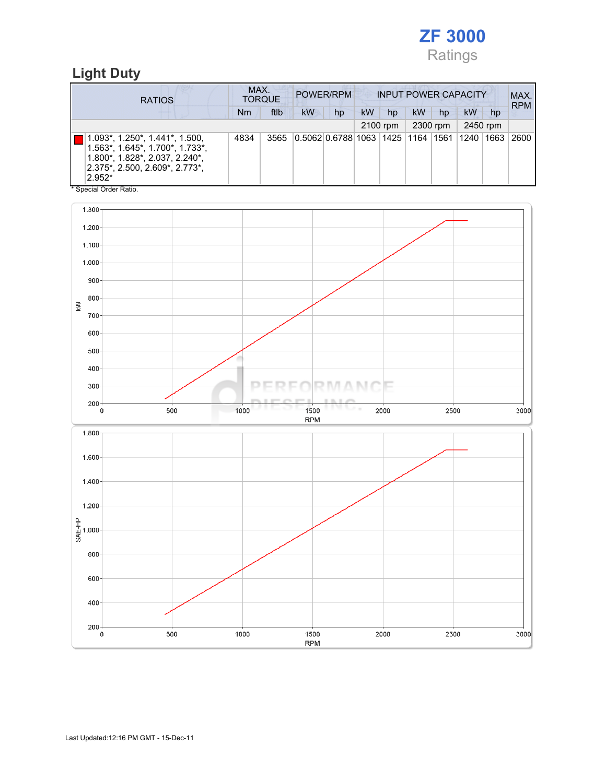

### Light Duty

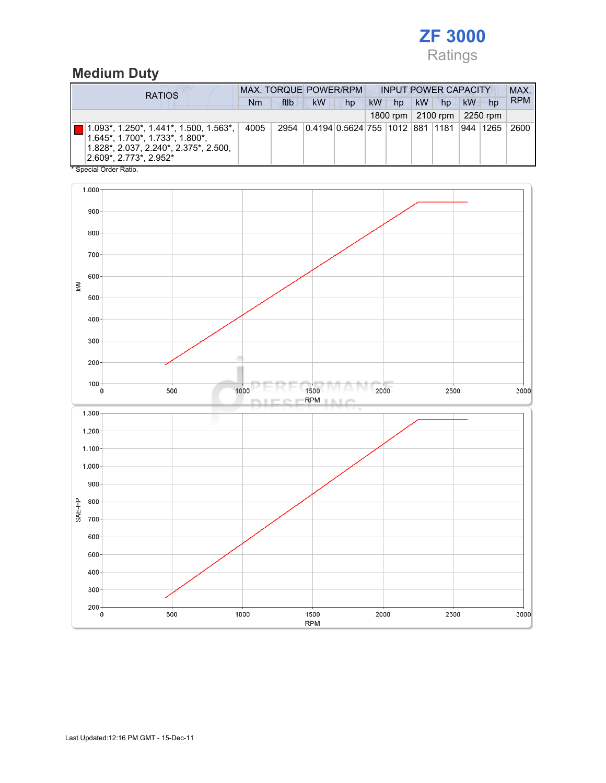## ZF 3000 Ratings

## Medium Duty

| <b>RATIOS</b>                                                                                                                                                                           | <b>MAX. TORQUE POWER/RPM</b> |      |                                               |    |    | <b>INPUT POWER CAPACITY</b> |           |                                |    |    | MAX.       |
|-----------------------------------------------------------------------------------------------------------------------------------------------------------------------------------------|------------------------------|------|-----------------------------------------------|----|----|-----------------------------|-----------|--------------------------------|----|----|------------|
|                                                                                                                                                                                         | Nm                           | ftlb | <b>kW</b>                                     | hp | kW | hp                          | <b>kW</b> | hp                             | kW | hp | <b>RPM</b> |
|                                                                                                                                                                                         |                              |      |                                               |    |    |                             |           | 1800 rpm   2100 rpm   2250 rpm |    |    |            |
| $1.093^*$ , 1.250 <sup>*</sup> , 1.441 <sup>*</sup> , 1.500, 1.563 <sup>*</sup> ,<br>1.645*, 1.700*, 1.733*, 1.800*,<br>1.828*, 2.037, 2.240*, 2.375*, 2.500,<br>2.609*, 2.773*, 2.952* | 4005                         | 2954 | 0.4194 0.5624 755  1012  881  1181  944  1265 |    |    |                             |           |                                |    |    | 2600       |

\* Special Order Ratio.

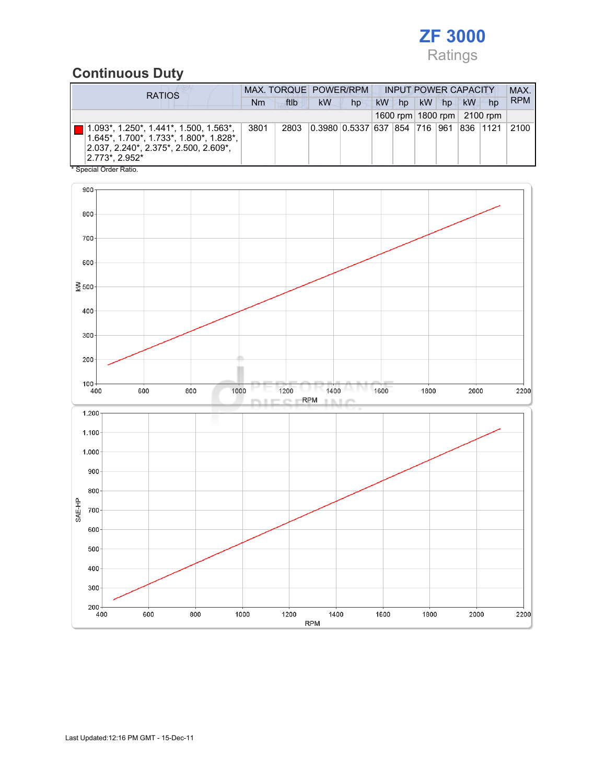

## Continuous Duty

| <b>RATIOS</b>                                                                                                                                                                   | MAX. TORQUE POWER/RPM |      |           |                               |           |    | <b>INPUT POWER CAPACITY</b> |    |    |                                | MAX.       |
|---------------------------------------------------------------------------------------------------------------------------------------------------------------------------------|-----------------------|------|-----------|-------------------------------|-----------|----|-----------------------------|----|----|--------------------------------|------------|
| Nm                                                                                                                                                                              |                       | ftlb | <b>kW</b> | hp                            | <b>kW</b> | hp | <b>kW</b>                   | hp | kW | hp                             | <b>RPM</b> |
|                                                                                                                                                                                 |                       |      |           |                               |           |    |                             |    |    | 1600 rpm   1800 rpm   2100 rpm |            |
| 1.093*, 1.250*, 1.441*, 1.500, 1.563*,<br>3801<br>1.645*, 1.700*, 1.733*, 1.800*, 1.828*,<br>2.037, 2.240*, 2.375*, 2.500, 2.609*,<br>12.773*, 2.952*<br>* Special Order Ratio. |                       | 2803 |           | 0.3980 0.5337 637 854 716 961 |           |    |                             |    |    | 836 1121                       | 2100       |

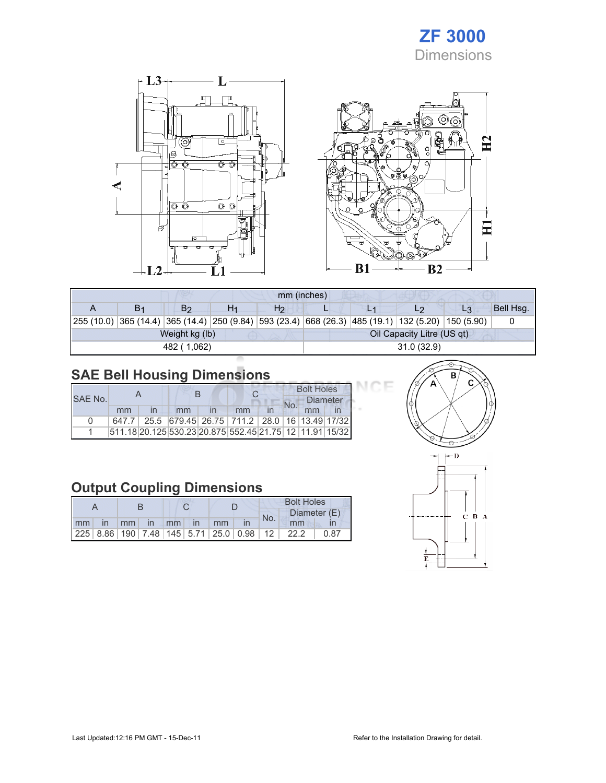



|    |                |    | mm (inches)    |  |                                                                                                    |                |           |
|----|----------------|----|----------------|--|----------------------------------------------------------------------------------------------------|----------------|-----------|
| В1 | Βς             | H1 | H <sub>2</sub> |  |                                                                                                    | L <sub>3</sub> | Bell Hsq. |
|    |                |    |                |  | 255 (10.0) 365 (14.4) 365 (14.4) 250 (9.84) 593 (23.4) 668 (26.3) 485 (19.1) 132 (5.20) 150 (5.90) |                |           |
|    | Weight kg (lb) |    |                |  | Oil Capacity Litre (US qt)                                                                         |                |           |
|    | 482 (1,062)    |    |                |  | 31.0(32.9)                                                                                         |                |           |

## SAE Bell Housing Dimensions

|         |    |  |                                                                   |    |  | <b>Bolt Holes</b> |  |
|---------|----|--|-------------------------------------------------------------------|----|--|-------------------|--|
| SAF No. |    |  |                                                                   |    |  | <b>Diameter</b>   |  |
|         | mm |  | mm                                                                | mm |  | mm                |  |
| n       |    |  | 647.7   25.5   679.45   26.75   711.2   28.0   16   13.49   17/32 |    |  |                   |  |
|         |    |  | 511.18 20.125 530.23 20.875 552.45 21.75 12 11.91 15/32           |    |  |                   |  |

### Output Coupling Dimensions

|    |              |                 |          |  |      |    |                                                         | <b>Bolt Holes</b> |              |      |  |  |
|----|--------------|-----------------|----------|--|------|----|---------------------------------------------------------|-------------------|--------------|------|--|--|
|    |              |                 |          |  |      |    |                                                         | No.               | Diameter (E) |      |  |  |
| mm | $\mathsf{I}$ | mm <sub>1</sub> | $\ln$ mm |  | l in | mm |                                                         |                   | mm           |      |  |  |
|    |              |                 |          |  |      |    | 225   8.86   190   7.48   145   5.71   25.0   0.98   12 |                   | 22.2         | 0.87 |  |  |



7F